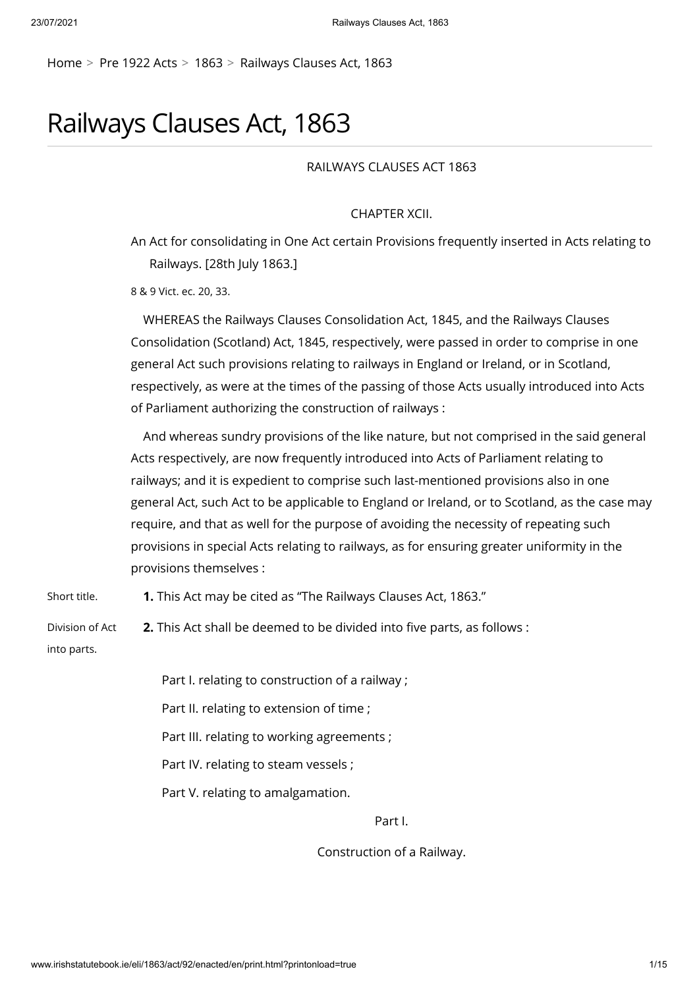[Home](http://www.irishstatutebook.ie/index.html) > [Pre 1922 Acts](http://www.irishstatutebook.ie/pre-acts.html) > [1863](http://www.irishstatutebook.ie/1863/1863.html) > [Railways Clauses Act, 1863](http://www.irishstatutebook.ie/eli/1863/act/92/enacted/en/index.html)

# Railways Clauses Act, 1863

RAILWAYS CLAUSES ACT 1863

CHAPTER XCII.

An Act for consolidating in One Act certain Provisions frequently inserted in Acts relating to Railways. [28th July 1863.]

8 & 9 Vict. ec. 20, 33.

WHEREAS the Railways Clauses Consolidation Act, 1845, and the Railways Clauses Consolidation (Scotland) Act, 1845, respectively, were passed in order to comprise in one general Act such provisions relating to railways in England or Ireland, or in Scotland, respectively, as were at the times of the passing of those Acts usually introduced into Acts of Parliament authorizing the construction of railways :

And whereas sundry provisions of the like nature, but not comprised in the said general Acts respectively, are now frequently introduced into Acts of Parliament relating to railways; and it is expedient to comprise such last-mentioned provisions also in one general Act, such Act to be applicable to England or Ireland, or to Scotland, as the case may require, and that as well for the purpose of avoiding the necessity of repeating such provisions in special Acts relating to railways, as for ensuring greater uniformity in the provisions themselves :

Short title. **1.** This Act may be cited as "The Railways Clauses Act, 1863."

Division of Act into parts. **2.** This Act shall be deemed to be divided into five parts, as follows :

Part I. relating to construction of a railway ;

Part II. relating to extension of time ;

Part III. relating to working agreements ;

Part IV. relating to steam vessels ;

Part V. relating to amalgamation.

Part I.

Construction of a Railway.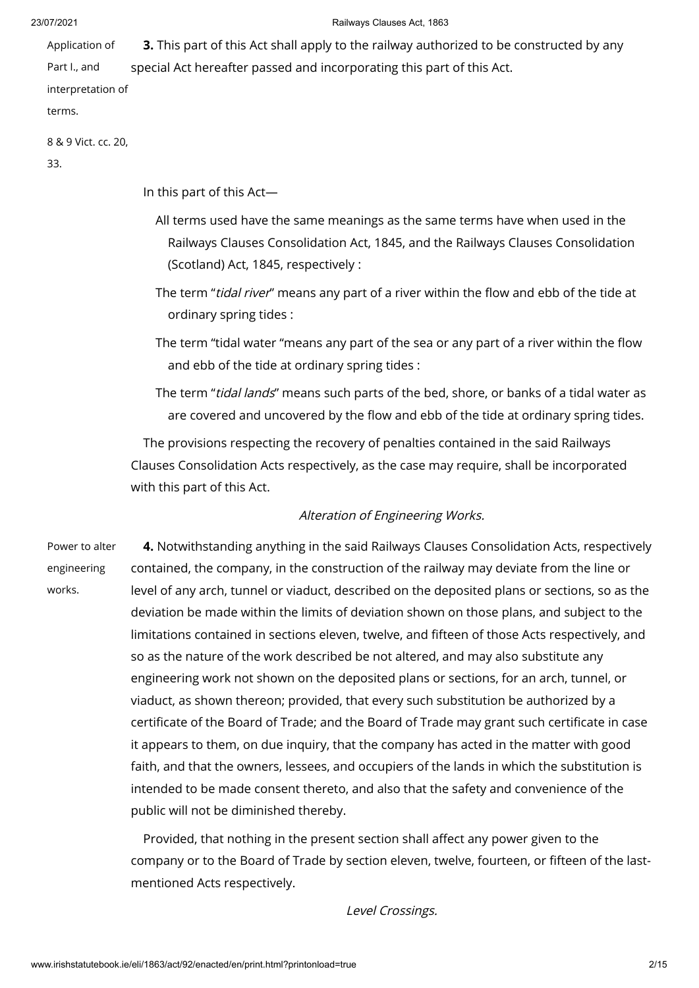Application of Part I., and interpretation of **3.** This part of this Act shall apply to the railway authorized to be constructed by any special Act hereafter passed and incorporating this part of this Act.

terms.

8 & 9 Vict. cc. 20,

33.

In this part of this Act—

- All terms used have the same meanings as the same terms have when used in the Railways Clauses Consolidation Act, 1845, and the Railways Clauses Consolidation (Scotland) Act, 1845, respectively :
- The term "tidal river" means any part of a river within the flow and ebb of the tide at ordinary spring tides :
- The term "tidal water "means any part of the sea or any part of a river within the flow and ebb of the tide at ordinary spring tides :
- The term "tidal lands" means such parts of the bed, shore, or banks of a tidal water as are covered and uncovered by the flow and ebb of the tide at ordinary spring tides.

The provisions respecting the recovery of penalties contained in the said Railways Clauses Consolidation Acts respectively, as the case may require, shall be incorporated with this part of this Act.

# Alteration of Engineering Works.

Power to alter engineering works.

**4.** Notwithstanding anything in the said Railways Clauses Consolidation Acts, respectively contained, the company, in the construction of the railway may deviate from the line or level of any arch, tunnel or viaduct, described on the deposited plans or sections, so as the deviation be made within the limits of deviation shown on those plans, and subject to the limitations contained in sections eleven, twelve, and fifteen of those Acts respectively, and so as the nature of the work described be not altered, and may also substitute any engineering work not shown on the deposited plans or sections, for an arch, tunnel, or viaduct, as shown thereon; provided, that every such substitution be authorized by a certificate of the Board of Trade; and the Board of Trade may grant such certificate in case it appears to them, on due inquiry, that the company has acted in the matter with good faith, and that the owners, lessees, and occupiers of the lands in which the substitution is intended to be made consent thereto, and also that the safety and convenience of the public will not be diminished thereby.

Provided, that nothing in the present section shall affect any power given to the company or to the Board of Trade by section eleven, twelve, fourteen, or fifteen of the lastmentioned Acts respectively.

Level Crossings.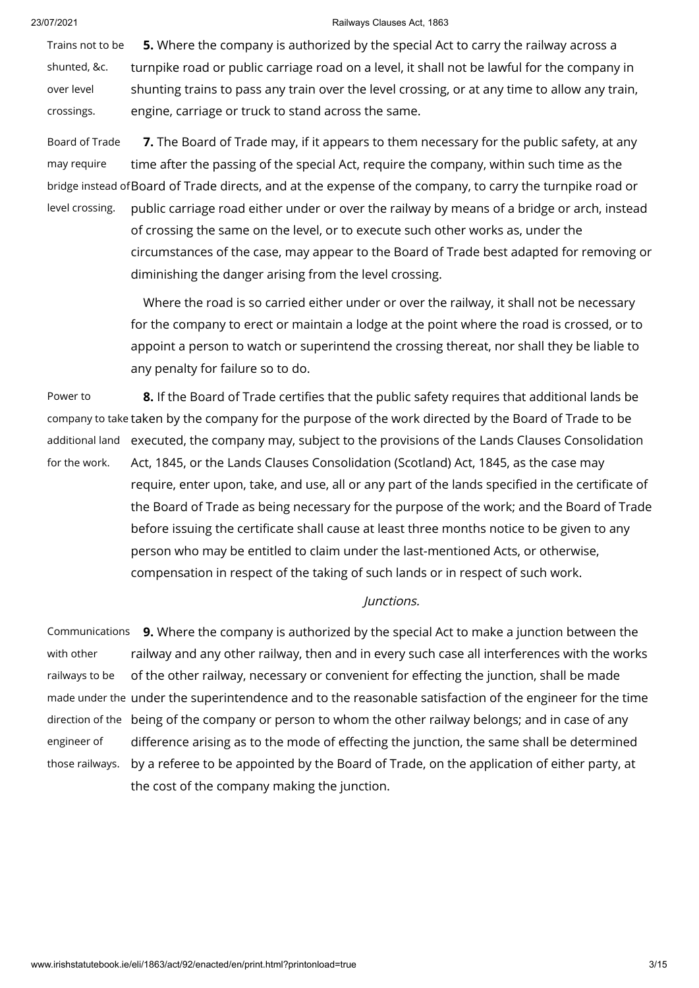Trains not to be shunted, &c. over level crossings. **5.** Where the company is authorized by the special Act to carry the railway across a turnpike road or public carriage road on a level, it shall not be lawful for the company in shunting trains to pass any train over the level crossing, or at any time to allow any train, engine, carriage or truck to stand across the same.

Board of Trade may require bridge instead of Board of Trade directs, and at the expense of the company, to carry the turnpike road or level crossing. **7.** The Board of Trade may, if it appears to them necessary for the public safety, at any time after the passing of the special Act, require the company, within such time as the public carriage road either under or over the railway by means of a bridge or arch, instead of crossing the same on the level, or to execute such other works as, under the circumstances of the case, may appear to the Board of Trade best adapted for removing or diminishing the danger arising from the level crossing.

> Where the road is so carried either under or over the railway, it shall not be necessary for the company to erect or maintain a lodge at the point where the road is crossed, or to appoint a person to watch or superintend the crossing thereat, nor shall they be liable to any penalty for failure so to do.

Power to company to take taken by the company for the purpose of the work directed by the Board of Trade to be additional land executed, the company may, subject to the provisions of the Lands Clauses Consolidation for the work. **8.** If the Board of Trade certifies that the public safety requires that additional lands be Act, 1845, or the Lands Clauses Consolidation (Scotland) Act, 1845, as the case may require, enter upon, take, and use, all or any part of the lands specified in the certificate of the Board of Trade as being necessary for the purpose of the work; and the Board of Trade before issuing the certificate shall cause at least three months notice to be given to any person who may be entitled to claim under the last-mentioned Acts, or otherwise, compensation in respect of the taking of such lands or in respect of such work.

# Junctions.

Communications with other railways to be made under the under the superintendence and to the reasonable satisfaction of the engineer for the time direction of the being of the company or person to whom the other railway belongs; and in case of any engineer of those railways. by a referee to be appointed by the Board of Trade, on the application of either party, at **9.** Where the company is authorized by the special Act to make a junction between the railway and any other railway, then and in every such case all interferences with the works of the other railway, necessary or convenient for effecting the junction, shall be made difference arising as to the mode of effecting the junction, the same shall be determined the cost of the company making the junction.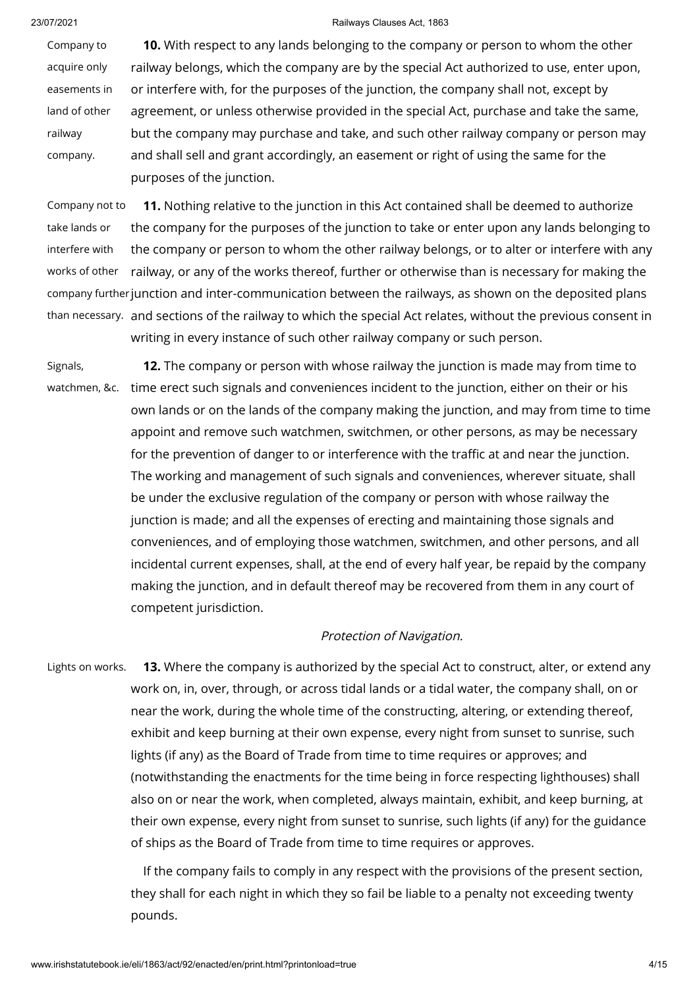Company to acquire only easements in land of other railway company. **10.** With respect to any lands belonging to the company or person to whom the other railway belongs, which the company are by the special Act authorized to use, enter upon, or interfere with, for the purposes of the junction, the company shall not, except by agreement, or unless otherwise provided in the special Act, purchase and take the same, but the company may purchase and take, and such other railway company or person may and shall sell and grant accordingly, an easement or right of using the same for the purposes of the junction.

Company not to take lands or interfere with works of other company further junction and inter-communication between the railways, as shown on the deposited plans than necessary. and sections of the railway to which the special Act relates, without the previous consent in **11.** Nothing relative to the junction in this Act contained shall be deemed to authorize the company for the purposes of the junction to take or enter upon any lands belonging to the company or person to whom the other railway belongs, or to alter or interfere with any railway, or any of the works thereof, further or otherwise than is necessary for making the writing in every instance of such other railway company or such person.

Signals, watchmen, &c. time erect such signals and conveniences incident to the junction, either on their or his **12.** The company or person with whose railway the junction is made may from time to own lands or on the lands of the company making the junction, and may from time to time appoint and remove such watchmen, switchmen, or other persons, as may be necessary for the prevention of danger to or interference with the traffic at and near the junction. The working and management of such signals and conveniences, wherever situate, shall be under the exclusive regulation of the company or person with whose railway the junction is made; and all the expenses of erecting and maintaining those signals and conveniences, and of employing those watchmen, switchmen, and other persons, and all incidental current expenses, shall, at the end of every half year, be repaid by the company making the junction, and in default thereof may be recovered from them in any court of competent jurisdiction.

# Protection of Navigation.

Lights on works. **13.** Where the company is authorized by the special Act to construct, alter, or extend any work on, in, over, through, or across tidal lands or a tidal water, the company shall, on or near the work, during the whole time of the constructing, altering, or extending thereof, exhibit and keep burning at their own expense, every night from sunset to sunrise, such lights (if any) as the Board of Trade from time to time requires or approves; and (notwithstanding the enactments for the time being in force respecting lighthouses) shall also on or near the work, when completed, always maintain, exhibit, and keep burning, at their own expense, every night from sunset to sunrise, such lights (if any) for the guidance of ships as the Board of Trade from time to time requires or approves.

> If the company fails to comply in any respect with the provisions of the present section, they shall for each night in which they so fail be liable to a penalty not exceeding twenty pounds.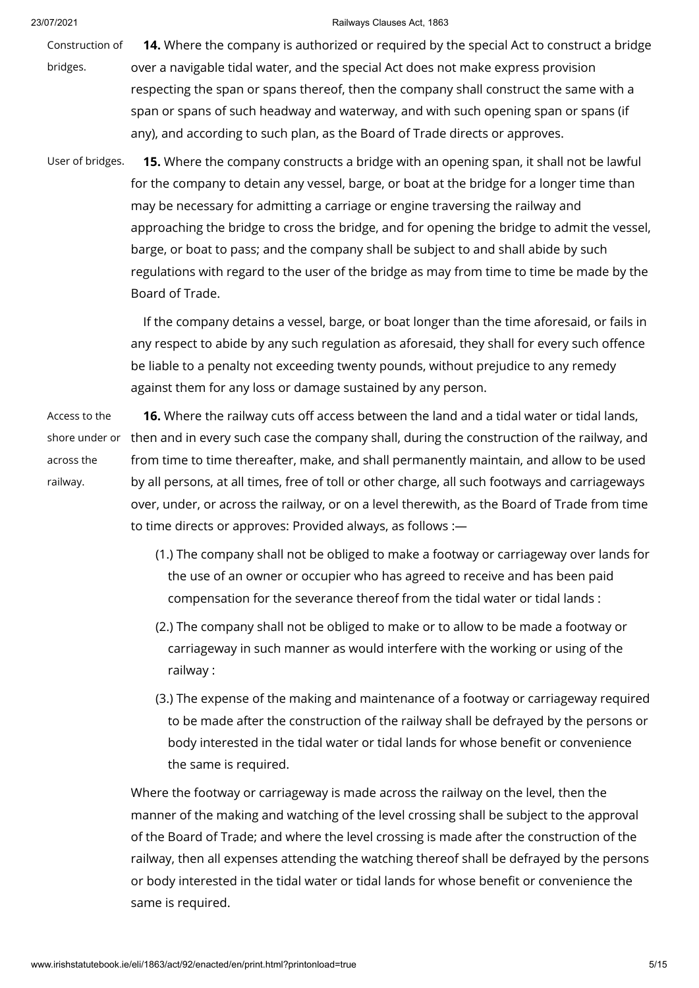Construction of bridges. **14.** Where the company is authorized or required by the special Act to construct a bridge over a navigable tidal water, and the special Act does not make express provision respecting the span or spans thereof, then the company shall construct the same with a span or spans of such headway and waterway, and with such opening span or spans (if any), and according to such plan, as the Board of Trade directs or approves.

User of bridges. **15.** Where the company constructs a bridge with an opening span, it shall not be lawful for the company to detain any vessel, barge, or boat at the bridge for a longer time than may be necessary for admitting a carriage or engine traversing the railway and approaching the bridge to cross the bridge, and for opening the bridge to admit the vessel, barge, or boat to pass; and the company shall be subject to and shall abide by such regulations with regard to the user of the bridge as may from time to time be made by the Board of Trade.

> If the company detains a vessel, barge, or boat longer than the time aforesaid, or fails in any respect to abide by any such regulation as aforesaid, they shall for every such offence be liable to a penalty not exceeding twenty pounds, without prejudice to any remedy against them for any loss or damage sustained by any person.

Access to the shore under or across the railway.

**16.** Where the railway cuts off access between the land and a tidal water or tidal lands, then and in every such case the company shall, during the construction of the railway, and from time to time thereafter, make, and shall permanently maintain, and allow to be used by all persons, at all times, free of toll or other charge, all such footways and carriageways over, under, or across the railway, or on a level therewith, as the Board of Trade from time to time directs or approves: Provided always, as follows :—

- (1.) The company shall not be obliged to make a footway or carriageway over lands for the use of an owner or occupier who has agreed to receive and has been paid compensation for the severance thereof from the tidal water or tidal lands :
- (2.) The company shall not be obliged to make or to allow to be made a footway or carriageway in such manner as would interfere with the working or using of the railway :
- (3.) The expense of the making and maintenance of a footway or carriageway required to be made after the construction of the railway shall be defrayed by the persons or body interested in the tidal water or tidal lands for whose benefit or convenience the same is required.

Where the footway or carriageway is made across the railway on the level, then the manner of the making and watching of the level crossing shall be subject to the approval of the Board of Trade; and where the level crossing is made after the construction of the railway, then all expenses attending the watching thereof shall be defrayed by the persons or body interested in the tidal water or tidal lands for whose benefit or convenience the same is required.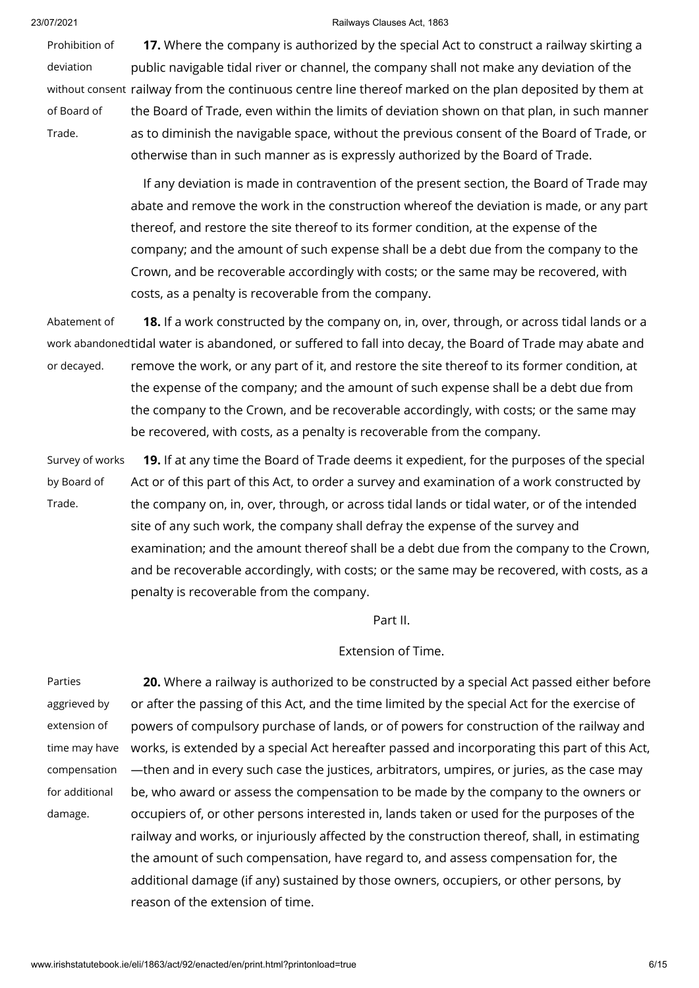Prohibition of deviation without consent railway from the continuous centre line thereof marked on the plan deposited by them at of Board of Trade. **17.** Where the company is authorized by the special Act to construct a railway skirting a public navigable tidal river or channel, the company shall not make any deviation of the the Board of Trade, even within the limits of deviation shown on that plan, in such manner as to diminish the navigable space, without the previous consent of the Board of Trade, or otherwise than in such manner as is expressly authorized by the Board of Trade.

> If any deviation is made in contravention of the present section, the Board of Trade may abate and remove the work in the construction whereof the deviation is made, or any part thereof, and restore the site thereof to its former condition, at the expense of the company; and the amount of such expense shall be a debt due from the company to the Crown, and be recoverable accordingly with costs; or the same may be recovered, with costs, as a penalty is recoverable from the company.

Abatement of work abandoned tidal water is abandoned, or suffered to fall into decay, the Board of Trade may abate and or decayed. **18.** If a work constructed by the company on, in, over, through, or across tidal lands or a remove the work, or any part of it, and restore the site thereof to its former condition, at the expense of the company; and the amount of such expense shall be a debt due from the company to the Crown, and be recoverable accordingly, with costs; or the same may be recovered, with costs, as a penalty is recoverable from the company.

Survey of works by Board of Trade. **19.** If at any time the Board of Trade deems it expedient, for the purposes of the special Act or of this part of this Act, to order a survey and examination of a work constructed by the company on, in, over, through, or across tidal lands or tidal water, or of the intended site of any such work, the company shall defray the expense of the survey and examination; and the amount thereof shall be a debt due from the company to the Crown, and be recoverable accordingly, with costs; or the same may be recovered, with costs, as a penalty is recoverable from the company.

Part II.

# Extension of Time.

Parties aggrieved by extension of time may have compensation for additional damage. **20.** Where a railway is authorized to be constructed by a special Act passed either before or after the passing of this Act, and the time limited by the special Act for the exercise of powers of compulsory purchase of lands, or of powers for construction of the railway and works, is extended by a special Act hereafter passed and incorporating this part of this Act, —then and in every such case the justices, arbitrators, umpires, or juries, as the case may be, who award or assess the compensation to be made by the company to the owners or occupiers of, or other persons interested in, lands taken or used for the purposes of the railway and works, or injuriously affected by the construction thereof, shall, in estimating the amount of such compensation, have regard to, and assess compensation for, the additional damage (if any) sustained by those owners, occupiers, or other persons, by reason of the extension of time.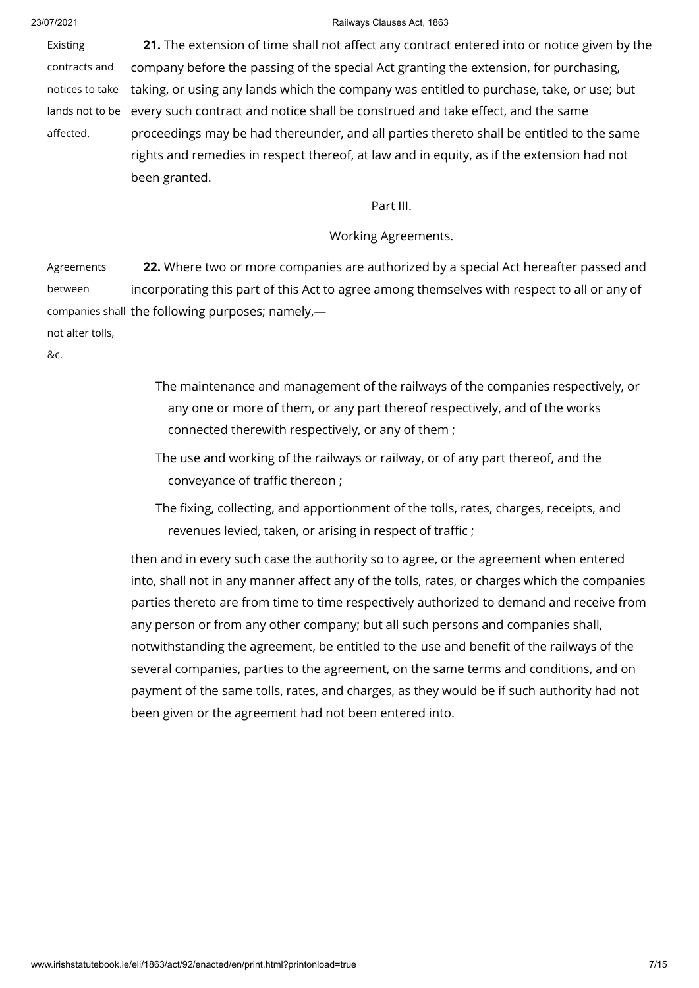Existing contracts and notices to take lands not to be every such contract and notice shall be construed and take effect, and the same affected. **21.** The extension of time shall not affect any contract entered into or notice given by the company before the passing of the special Act granting the extension, for purchasing, taking, or using any lands which the company was entitled to purchase, take, or use; but proceedings may be had thereunder, and all parties thereto shall be entitled to the same rights and remedies in respect thereof, at law and in equity, as if the extension had not been granted.

### Part III.

## Working Agreements.

Agreements between companies shall the following purposes; namely, not alter tolls, **22.** Where two or more companies are authorized by a special Act hereafter passed and incorporating this part of this Act to agree among themselves with respect to all or any of

&c.

- The maintenance and management of the railways of the companies respectively, or any one or more of them, or any part thereof respectively, and of the works connected therewith respectively, or any of them ;
- The use and working of the railways or railway, or of any part thereof, and the conveyance of traffic thereon ;
- The fixing, collecting, and apportionment of the tolls, rates, charges, receipts, and revenues levied, taken, or arising in respect of traffic ;

then and in every such case the authority so to agree, or the agreement when entered into, shall not in any manner affect any of the tolls, rates, or charges which the companies parties thereto are from time to time respectively authorized to demand and receive from any person or from any other company; but all such persons and companies shall, notwithstanding the agreement, be entitled to the use and benefit of the railways of the several companies, parties to the agreement, on the same terms and conditions, and on payment of the same tolls, rates, and charges, as they would be if such authority had not been given or the agreement had not been entered into.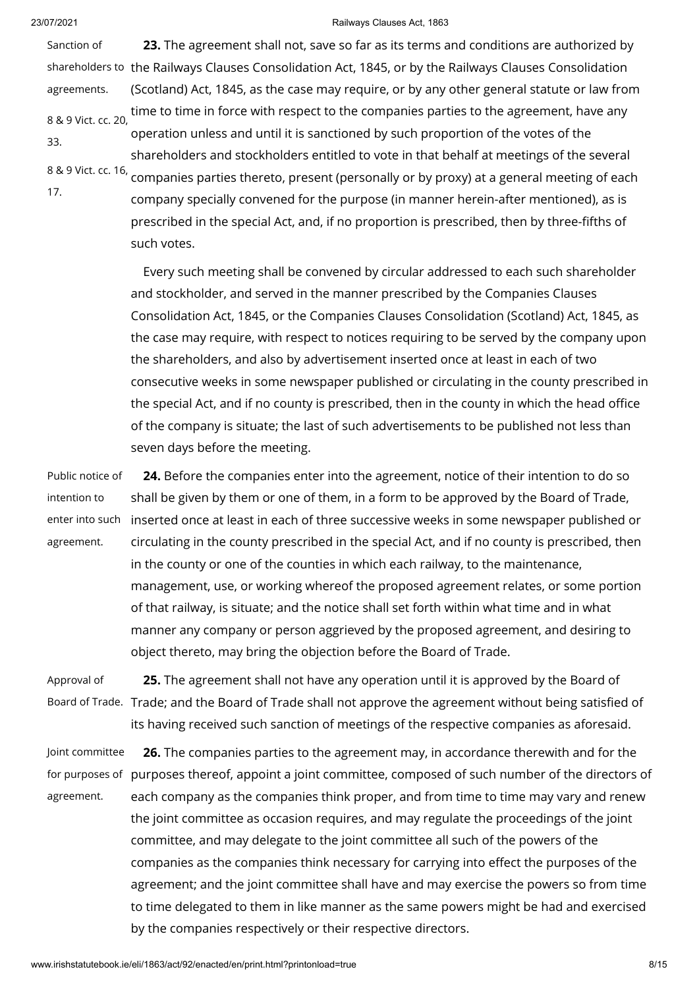Sanction of shareholders to the Railways Clauses Consolidation Act, 1845, or by the Railways Clauses Consolidation agreements. 8 & 9 Vict. cc. 20, 33. 8 & 9 Vict. cc. 16, companies parties thereto, present (personally or by proxy) at a general meeting of each 17. **23.** The agreement shall not, save so far as its terms and conditions are authorized by (Scotland) Act, 1845, as the case may require, or by any other general statute or law from time to time in force with respect to the companies parties to the agreement, have any operation unless and until it is sanctioned by such proportion of the votes of the shareholders and stockholders entitled to vote in that behalf at meetings of the several company specially convened for the purpose (in manner herein-after mentioned), as is

prescribed in the special Act, and, if no proportion is prescribed, then by three-fifths of such votes.

Every such meeting shall be convened by circular addressed to each such shareholder and stockholder, and served in the manner prescribed by the Companies Clauses Consolidation Act, 1845, or the Companies Clauses Consolidation (Scotland) Act, 1845, as the case may require, with respect to notices requiring to be served by the company upon the shareholders, and also by advertisement inserted once at least in each of two consecutive weeks in some newspaper published or circulating in the county prescribed in the special Act, and if no county is prescribed, then in the county in which the head office of the company is situate; the last of such advertisements to be published not less than seven days before the meeting.

Public notice of intention to enter into such inserted once at least in each of three successive weeks in some newspaper published or agreement. **24.** Before the companies enter into the agreement, notice of their intention to do so shall be given by them or one of them, in a form to be approved by the Board of Trade, circulating in the county prescribed in the special Act, and if no county is prescribed, then in the county or one of the counties in which each railway, to the maintenance, management, use, or working whereof the proposed agreement relates, or some portion of that railway, is situate; and the notice shall set forth within what time and in what manner any company or person aggrieved by the proposed agreement, and desiring to object thereto, may bring the objection before the Board of Trade.

Approval of Board of Trade. Trade; and the Board of Trade shall not approve the agreement without being satisfied of **25.** The agreement shall not have any operation until it is approved by the Board of its having received such sanction of meetings of the respective companies as aforesaid.

Joint committee for purposes of purposes thereof, appoint a joint committee, composed of such number of the directors of agreement. **26.** The companies parties to the agreement may, in accordance therewith and for the each company as the companies think proper, and from time to time may vary and renew the joint committee as occasion requires, and may regulate the proceedings of the joint committee, and may delegate to the joint committee all such of the powers of the companies as the companies think necessary for carrying into effect the purposes of the agreement; and the joint committee shall have and may exercise the powers so from time to time delegated to them in like manner as the same powers might be had and exercised by the companies respectively or their respective directors.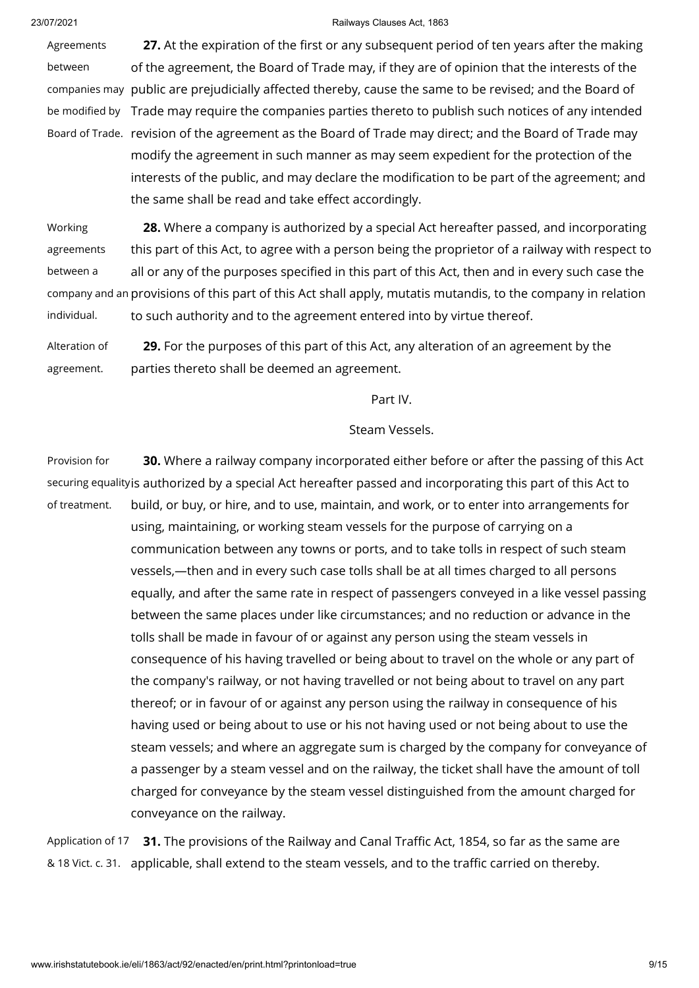Agreements between companies may public are prejudicially affected thereby, cause the same to be revised; and the Board of be modified by Trade may require the companies parties thereto to publish such notices of any intended Board of Trade. revision of the agreement as the Board of Trade may direct; and the Board of Trade may **27.** At the expiration of the first or any subsequent period of ten years after the making of the agreement, the Board of Trade may, if they are of opinion that the interests of the modify the agreement in such manner as may seem expedient for the protection of the interests of the public, and may declare the modification to be part of the agreement; and the same shall be read and take effect accordingly.

Working agreements between a company and an provisions of this part of this Act shall apply, mutatis mutandis, to the company in relation individual. **28.** Where a company is authorized by a special Act hereafter passed, and incorporating this part of this Act, to agree with a person being the proprietor of a railway with respect to all or any of the purposes specified in this part of this Act, then and in every such case the to such authority and to the agreement entered into by virtue thereof.

Alteration of agreement. **29.** For the purposes of this part of this Act, any alteration of an agreement by the parties thereto shall be deemed an agreement.

Part IV.

# Steam Vessels.

Provision for securing equality is authorized by a special Act hereafter passed and incorporating this part of this Act to of treatment. **30.** Where a railway company incorporated either before or after the passing of this Act build, or buy, or hire, and to use, maintain, and work, or to enter into arrangements for using, maintaining, or working steam vessels for the purpose of carrying on a communication between any towns or ports, and to take tolls in respect of such steam vessels,—then and in every such case tolls shall be at all times charged to all persons equally, and after the same rate in respect of passengers conveyed in a like vessel passing between the same places under like circumstances; and no reduction or advance in the tolls shall be made in favour of or against any person using the steam vessels in consequence of his having travelled or being about to travel on the whole or any part of the company's railway, or not having travelled or not being about to travel on any part thereof; or in favour of or against any person using the railway in consequence of his having used or being about to use or his not having used or not being about to use the steam vessels; and where an aggregate sum is charged by the company for conveyance of a passenger by a steam vessel and on the railway, the ticket shall have the amount of toll charged for conveyance by the steam vessel distinguished from the amount charged for conveyance on the railway.

Application of 17 **31.** The provisions of the Railway and Canal Traffic Act, 1854, so far as the same are & 18 Vict. c. 31. applicable, shall extend to the steam vessels, and to the traffic carried on thereby.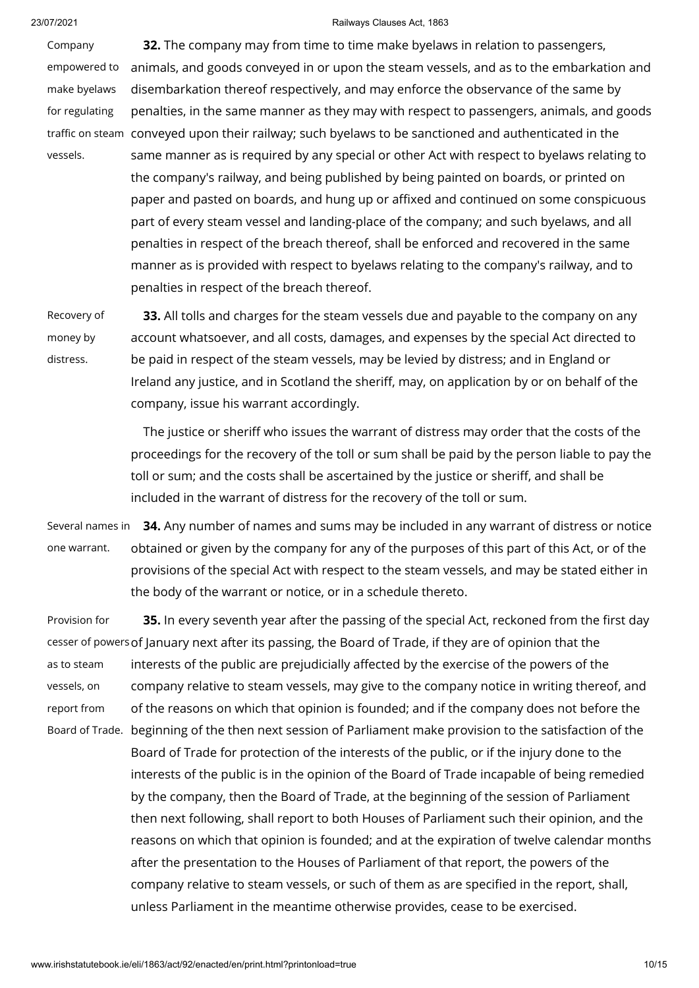Company empowered to make byelaws for regulating traffic on steam conveyed upon their railway; such byelaws to be sanctioned and authenticated in the vessels. **32.** The company may from time to time make byelaws in relation to passengers, animals, and goods conveyed in or upon the steam vessels, and as to the embarkation and disembarkation thereof respectively, and may enforce the observance of the same by penalties, in the same manner as they may with respect to passengers, animals, and goods same manner as is required by any special or other Act with respect to byelaws relating to the company's railway, and being published by being painted on boards, or printed on paper and pasted on boards, and hung up or affixed and continued on some conspicuous part of every steam vessel and landing-place of the company; and such byelaws, and all penalties in respect of the breach thereof, shall be enforced and recovered in the same manner as is provided with respect to byelaws relating to the company's railway, and to penalties in respect of the breach thereof.

Recovery of money by distress.

**33.** All tolls and charges for the steam vessels due and payable to the company on any account whatsoever, and all costs, damages, and expenses by the special Act directed to be paid in respect of the steam vessels, may be levied by distress; and in England or Ireland any justice, and in Scotland the sheriff, may, on application by or on behalf of the company, issue his warrant accordingly.

The justice or sheriff who issues the warrant of distress may order that the costs of the proceedings for the recovery of the toll or sum shall be paid by the person liable to pay the toll or sum; and the costs shall be ascertained by the justice or sheriff, and shall be included in the warrant of distress for the recovery of the toll or sum.

Several names in one warrant. **34.** Any number of names and sums may be included in any warrant of distress or notice obtained or given by the company for any of the purposes of this part of this Act, or of the provisions of the special Act with respect to the steam vessels, and may be stated either in the body of the warrant or notice, or in a schedule thereto.

Provision for cesser of powers of January next after its passing, the Board of Trade, if they are of opinion that the as to steam vessels, on report from Board of Trade. beginning of the then next session of Parliament make provision to the satisfaction of the **35.** In every seventh year after the passing of the special Act, reckoned from the first day interests of the public are prejudicially affected by the exercise of the powers of the company relative to steam vessels, may give to the company notice in writing thereof, and of the reasons on which that opinion is founded; and if the company does not before the Board of Trade for protection of the interests of the public, or if the injury done to the interests of the public is in the opinion of the Board of Trade incapable of being remedied by the company, then the Board of Trade, at the beginning of the session of Parliament then next following, shall report to both Houses of Parliament such their opinion, and the reasons on which that opinion is founded; and at the expiration of twelve calendar months after the presentation to the Houses of Parliament of that report, the powers of the company relative to steam vessels, or such of them as are specified in the report, shall, unless Parliament in the meantime otherwise provides, cease to be exercised.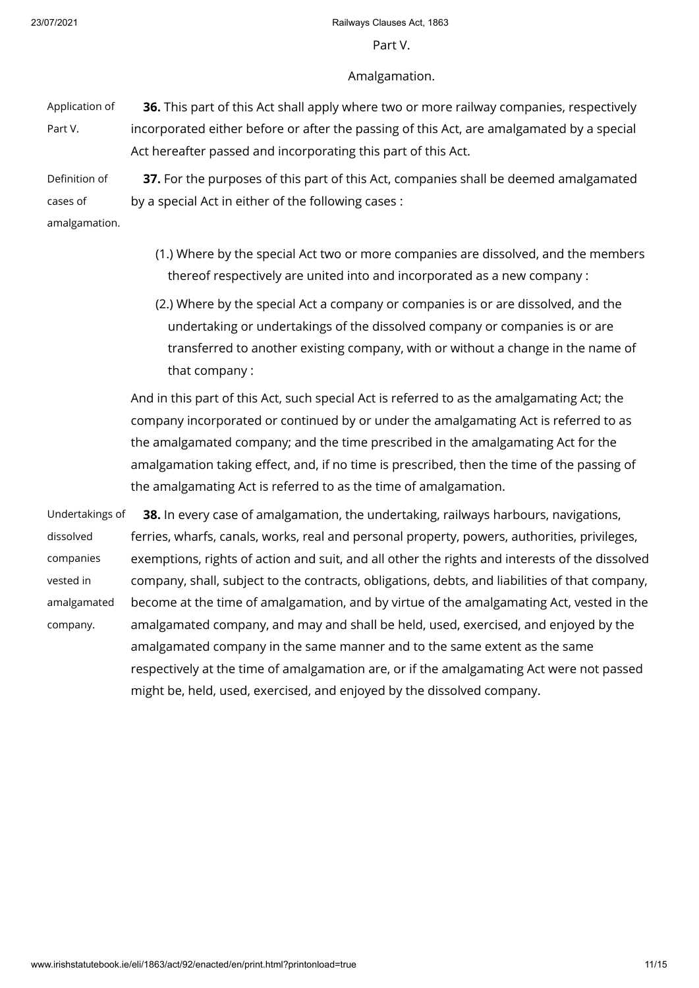### Part V.

### Amalgamation.

Application of Part V. **36.** This part of this Act shall apply where two or more railway companies, respectively incorporated either before or after the passing of this Act, are amalgamated by a special Act hereafter passed and incorporating this part of this Act.

Definition of cases of **37.** For the purposes of this part of this Act, companies shall be deemed amalgamated by a special Act in either of the following cases :

amalgamation.

- (1.) Where by the special Act two or more companies are dissolved, and the members thereof respectively are united into and incorporated as a new company :
- (2.) Where by the special Act a company or companies is or are dissolved, and the undertaking or undertakings of the dissolved company or companies is or are transferred to another existing company, with or without a change in the name of that company :

And in this part of this Act, such special Act is referred to as the amalgamating Act; the company incorporated or continued by or under the amalgamating Act is referred to as the amalgamated company; and the time prescribed in the amalgamating Act for the amalgamation taking effect, and, if no time is prescribed, then the time of the passing of the amalgamating Act is referred to as the time of amalgamation.

Undertakings of dissolved companies vested in amalgamated company. **38.** In every case of amalgamation, the undertaking, railways harbours, navigations, ferries, wharfs, canals, works, real and personal property, powers, authorities, privileges, exemptions, rights of action and suit, and all other the rights and interests of the dissolved company, shall, subject to the contracts, obligations, debts, and liabilities of that company, become at the time of amalgamation, and by virtue of the amalgamating Act, vested in the amalgamated company, and may and shall be held, used, exercised, and enjoyed by the amalgamated company in the same manner and to the same extent as the same respectively at the time of amalgamation are, or if the amalgamating Act were not passed might be, held, used, exercised, and enjoyed by the dissolved company.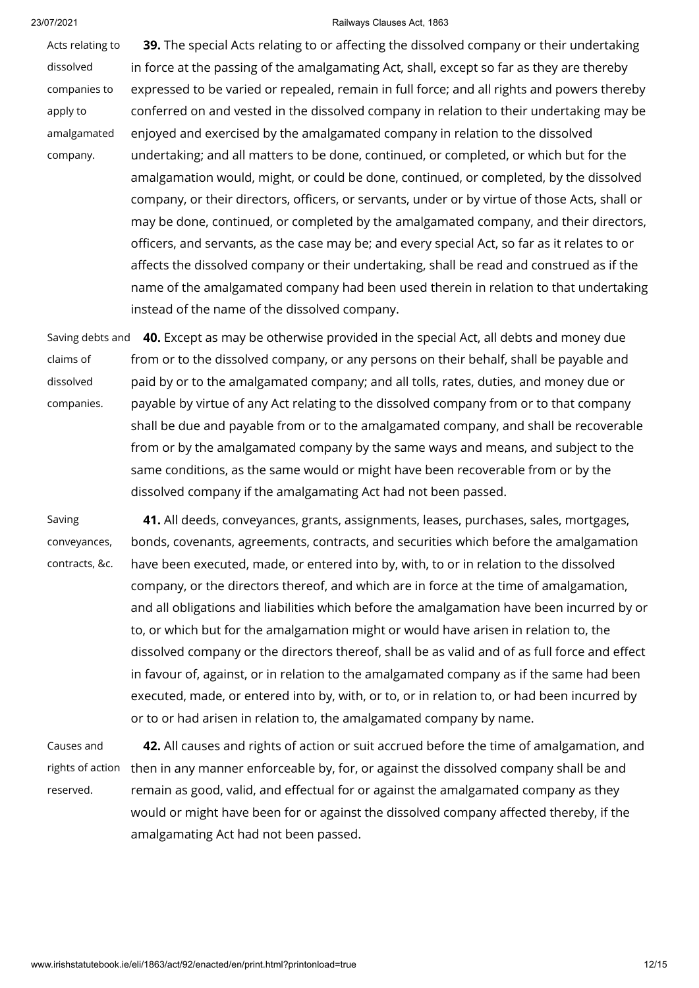Acts relating to dissolved companies to apply to amalgamated company. **39.** The special Acts relating to or affecting the dissolved company or their undertaking in force at the passing of the amalgamating Act, shall, except so far as they are thereby expressed to be varied or repealed, remain in full force; and all rights and powers thereby conferred on and vested in the dissolved company in relation to their undertaking may be enjoyed and exercised by the amalgamated company in relation to the dissolved undertaking; and all matters to be done, continued, or completed, or which but for the amalgamation would, might, or could be done, continued, or completed, by the dissolved company, or their directors, officers, or servants, under or by virtue of those Acts, shall or may be done, continued, or completed by the amalgamated company, and their directors, officers, and servants, as the case may be; and every special Act, so far as it relates to or affects the dissolved company or their undertaking, shall be read and construed as if the name of the amalgamated company had been used therein in relation to that undertaking instead of the name of the dissolved company.

Saving debts and **40.** Except as may be otherwise provided in the special Act, all debts and money due claims of dissolved companies. from or to the dissolved company, or any persons on their behalf, shall be payable and paid by or to the amalgamated company; and all tolls, rates, duties, and money due or payable by virtue of any Act relating to the dissolved company from or to that company shall be due and payable from or to the amalgamated company, and shall be recoverable from or by the amalgamated company by the same ways and means, and subject to the same conditions, as the same would or might have been recoverable from or by the dissolved company if the amalgamating Act had not been passed.

Saving conveyances, contracts, &c. **41.** All deeds, conveyances, grants, assignments, leases, purchases, sales, mortgages, bonds, covenants, agreements, contracts, and securities which before the amalgamation have been executed, made, or entered into by, with, to or in relation to the dissolved company, or the directors thereof, and which are in force at the time of amalgamation, and all obligations and liabilities which before the amalgamation have been incurred by or to, or which but for the amalgamation might or would have arisen in relation to, the dissolved company or the directors thereof, shall be as valid and of as full force and effect in favour of, against, or in relation to the amalgamated company as if the same had been executed, made, or entered into by, with, or to, or in relation to, or had been incurred by or to or had arisen in relation to, the amalgamated company by name.

Causes and rights of action reserved. **42.** All causes and rights of action or suit accrued before the time of amalgamation, and then in any manner enforceable by, for, or against the dissolved company shall be and remain as good, valid, and effectual for or against the amalgamated company as they would or might have been for or against the dissolved company affected thereby, if the amalgamating Act had not been passed.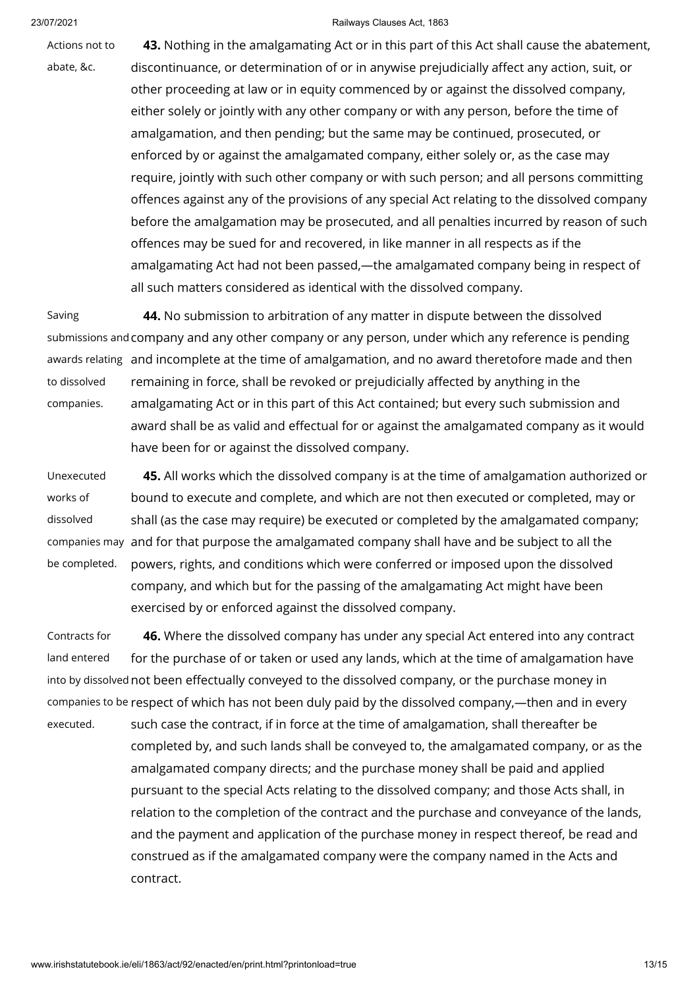Actions not to

abate, &c.

**43.** Nothing in the amalgamating Act or in this part of this Act shall cause the abatement, discontinuance, or determination of or in anywise prejudicially affect any action, suit, or other proceeding at law or in equity commenced by or against the dissolved company, either solely or jointly with any other company or with any person, before the time of amalgamation, and then pending; but the same may be continued, prosecuted, or enforced by or against the amalgamated company, either solely or, as the case may require, jointly with such other company or with such person; and all persons committing offences against any of the provisions of any special Act relating to the dissolved company before the amalgamation may be prosecuted, and all penalties incurred by reason of such offences may be sued for and recovered, in like manner in all respects as if the amalgamating Act had not been passed,—the amalgamated company being in respect of

Saving submissions and company and any other company or any person, under which any reference is pending awards relating  $\,$  and incomplete at the time of amalgamation, and no award theretofore made and then  $\,$ to dissolved companies. **44.** No submission to arbitration of any matter in dispute between the dissolved remaining in force, shall be revoked or prejudicially affected by anything in the amalgamating Act or in this part of this Act contained; but every such submission and award shall be as valid and effectual for or against the amalgamated company as it would have been for or against the dissolved company.

all such matters considered as identical with the dissolved company.

Unexecuted works of dissolved companies may and for that purpose the amalgamated company shall have and be subject to all the be completed. **45.** All works which the dissolved company is at the time of amalgamation authorized or bound to execute and complete, and which are not then executed or completed, may or shall (as the case may require) be executed or completed by the amalgamated company; powers, rights, and conditions which were conferred or imposed upon the dissolved company, and which but for the passing of the amalgamating Act might have been exercised by or enforced against the dissolved company.

Contracts for land entered into by dissolved not been effectually conveyed to the dissolved company, or the purchase money in companies to be respect of which has not been duly paid by the dissolved company,—then and in every executed. **46.** Where the dissolved company has under any special Act entered into any contract for the purchase of or taken or used any lands, which at the time of amalgamation have such case the contract, if in force at the time of amalgamation, shall thereafter be completed by, and such lands shall be conveyed to, the amalgamated company, or as the amalgamated company directs; and the purchase money shall be paid and applied pursuant to the special Acts relating to the dissolved company; and those Acts shall, in relation to the completion of the contract and the purchase and conveyance of the lands, and the payment and application of the purchase money in respect thereof, be read and construed as if the amalgamated company were the company named in the Acts and contract.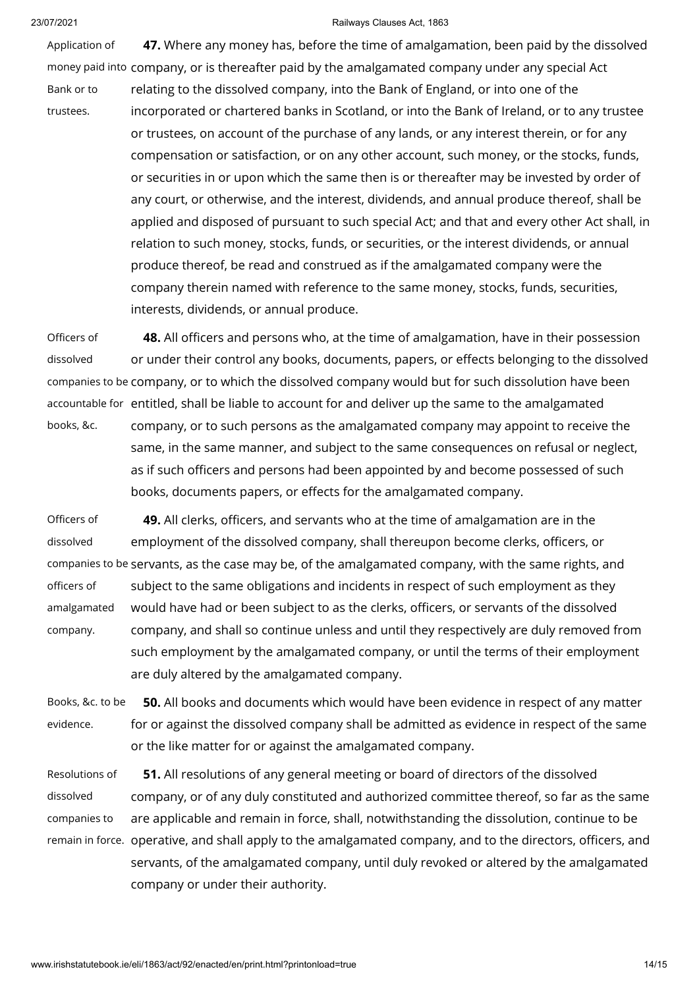Application of money paid into company, or is thereafter paid by the amalgamated company under any special Act Bank or to trustees. **47.** Where any money has, before the time of amalgamation, been paid by the dissolved relating to the dissolved company, into the Bank of England, or into one of the incorporated or chartered banks in Scotland, or into the Bank of Ireland, or to any trustee or trustees, on account of the purchase of any lands, or any interest therein, or for any compensation or satisfaction, or on any other account, such money, or the stocks, funds, or securities in or upon which the same then is or thereafter may be invested by order of any court, or otherwise, and the interest, dividends, and annual produce thereof, shall be applied and disposed of pursuant to such special Act; and that and every other Act shall, in relation to such money, stocks, funds, or securities, or the interest dividends, or annual produce thereof, be read and construed as if the amalgamated company were the company therein named with reference to the same money, stocks, funds, securities, interests, dividends, or annual produce.

Officers of dissolved companies to be company, or to which the dissolved company would but for such dissolution have been accountable for entitled, shall be liable to account for and deliver up the same to the amalgamated **48.** All officers and persons who, at the time of amalgamation, have in their possession or under their control any books, documents, papers, or effects belonging to the dissolved

books, &c. company, or to such persons as the amalgamated company may appoint to receive the same, in the same manner, and subject to the same consequences on refusal or neglect, as if such officers and persons had been appointed by and become possessed of such books, documents papers, or effects for the amalgamated company.

Officers of dissolved companies to be servants, as the case may be, of the amalgamated company, with the same rights, and officers of amalgamated company. **49.** All clerks, officers, and servants who at the time of amalgamation are in the employment of the dissolved company, shall thereupon become clerks, officers, or subject to the same obligations and incidents in respect of such employment as they would have had or been subject to as the clerks, officers, or servants of the dissolved company, and shall so continue unless and until they respectively are duly removed from such employment by the amalgamated company, or until the terms of their employment are duly altered by the amalgamated company.

Books, &c. to be evidence. **50.** All books and documents which would have been evidence in respect of any matter for or against the dissolved company shall be admitted as evidence in respect of the same or the like matter for or against the amalgamated company.

Resolutions of dissolved companies to remain in force. operative, and shall apply to the amalgamated company, and to the directors, officers, and **51.** All resolutions of any general meeting or board of directors of the dissolved company, or of any duly constituted and authorized committee thereof, so far as the same are applicable and remain in force, shall, notwithstanding the dissolution, continue to be servants, of the amalgamated company, until duly revoked or altered by the amalgamated company or under their authority.